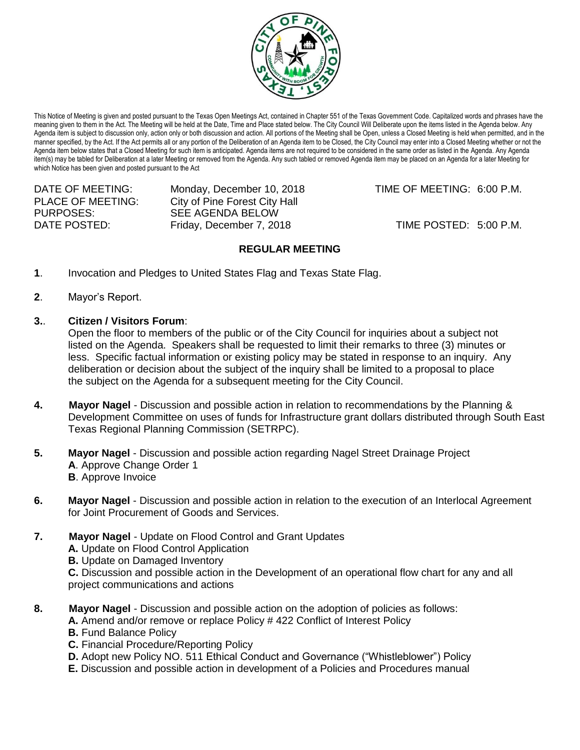

This Notice of Meeting is given and posted pursuant to the Texas Open Meetings Act, contained in Chapter 551 of the Texas Government Code. Capitalized words and phrases have the meaning given to them in the Act. The Meeting will be held at the Date, Time and Place stated below. The City Council Will Deliberate upon the items listed in the Agenda below. Any Agenda item is subject to discussion only, action only or both discussion and action. All portions of the Meeting shall be Open, unless a Closed Meeting is held when permitted, and in the manner specified, by the Act. If the Act permits all or any portion of the Deliberation of an Agenda item to be Closed, the City Council may enter into a Closed Meeting whether or not the Agenda item below states that a Closed Meeting for such item is anticipated. Agenda items are not required to be considered in the same order as listed in the Agenda. Any Agenda item(s) may be tabled for Deliberation at a later Meeting or removed from the Agenda. Any such tabled or removed Agenda item may be placed on an Agenda for a later Meeting for which Notice has been given and posted pursuant to the Act

DATE OF MEETING: Monday, December 10, 2018 TIME OF MEETING: 6:00 P.M. PLACE OF MEETING: City of Pine Forest City Hall PURPOSES: SEE AGENDA BELOW DATE POSTED: Friday, December 7, 2018 TIME POSTED: 5:00 P.M.

## **REGULAR MEETING**

- **1**. Invocation and Pledges to United States Flag and Texas State Flag.
- **2**. Mayor's Report.
- **3.**. **Citizen / Visitors Forum**:

Open the floor to members of the public or of the City Council for inquiries about a subject not listed on the Agenda. Speakers shall be requested to limit their remarks to three (3) minutes or less. Specific factual information or existing policy may be stated in response to an inquiry. Any deliberation or decision about the subject of the inquiry shall be limited to a proposal to place the subject on the Agenda for a subsequent meeting for the City Council.

- **4. Mayor Nagel** Discussion and possible action in relation to recommendations by the Planning & Development Committee on uses of funds for Infrastructure grant dollars distributed through South East Texas Regional Planning Commission (SETRPC).
- **5. Mayor Nagel** Discussion and possible action regarding Nagel Street Drainage Project **A**. Approve Change Order 1 **B**. Approve Invoice
- **6. Mayor Nagel** Discussion and possible action in relation to the execution of an Interlocal Agreement for Joint Procurement of Goods and Services.
- **7. Mayor Nagel** Update on Flood Control and Grant Updates **A.** Update on Flood Control Application **B.** Update on Damaged Inventory **C.** Discussion and possible action in the Development of an operational flow chart for any and all project communications and actions
- **8. Mayor Nagel** Discussion and possible action on the adoption of policies as follows:
	- **A.** Amend and/or remove or replace Policy # 422 Conflict of Interest Policy
		- **B.** Fund Balance Policy
	- **C.** Financial Procedure/Reporting Policy
	- **D.** Adopt new Policy NO. 511 Ethical Conduct and Governance ("Whistleblower") Policy
	- **E.** Discussion and possible action in development of a Policies and Procedures manual